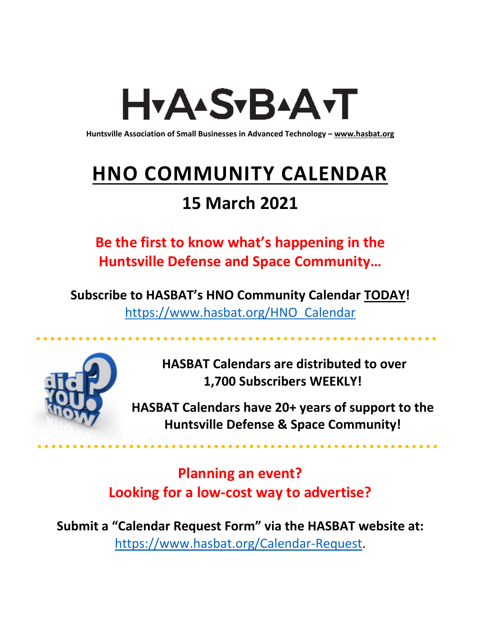# H<sub>Y</sub>AASTBAATT

**Huntsville Association of Small Businesses in Advanced Technology – [www.hasbat.org](http://www.hasbat.org/)**

# **HNO COMMUNITY CALENDAR**

### **15 March 2021**

**Be the first to know what's happening in the Huntsville Defense and Space Community…** 

**Subscribe to HASBAT's HNO Community Calendar TODAY!**  [https://www.hasbat.org/HNO\\_Calendar](https://www.hasbat.org/HNO_Calendar)



**HASBAT Calendars are distributed to over 1,700 Subscribers WEEKLY!**

**HASBAT Calendars have 20+ years of support to the Huntsville Defense & Space Community!** 

**Planning an event? Looking for a low-cost way to advertise?**

**Submit a "Calendar Request Form" via the HASBAT website at:**  [https://www.hasbat.org/Calendar-Request.](https://www.hasbat.org/Calendar-Request)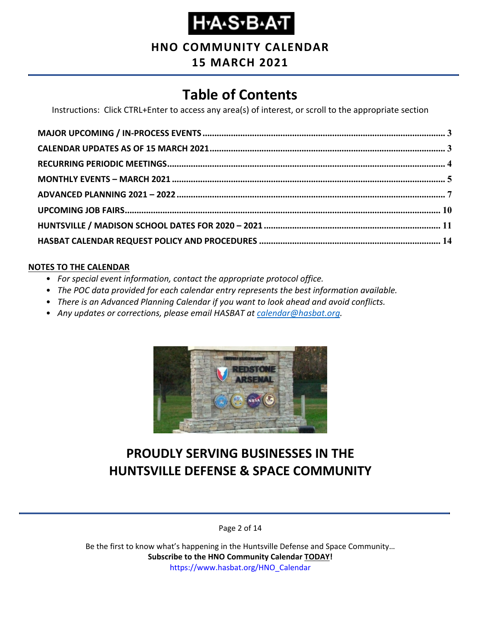### **Н•А**•Ѕ•В•А•Т

**HNO COMMUNITY CALENDAR**

### **15 MARCH 2021**

### **Table of Contents**

Instructions: Click CTRL+Enter to access any area(s) of interest, or scroll to the appropriate section

#### **NOTES TO THE CALENDAR**

- *For special event information, contact the appropriate protocol office.*
- *The POC data provided for each calendar entry represents the best information available.*
- *There is an Advanced Planning Calendar if you want to look ahead and avoid conflicts.*
- *Any updates or corrections, please email HASBAT at [calendar@hasbat.org.](mailto:calendar@hasbat.org)*



### **PROUDLY SERVING BUSINESSES IN THE HUNTSVILLE DEFENSE & SPACE COMMUNITY**

Page 2 of 14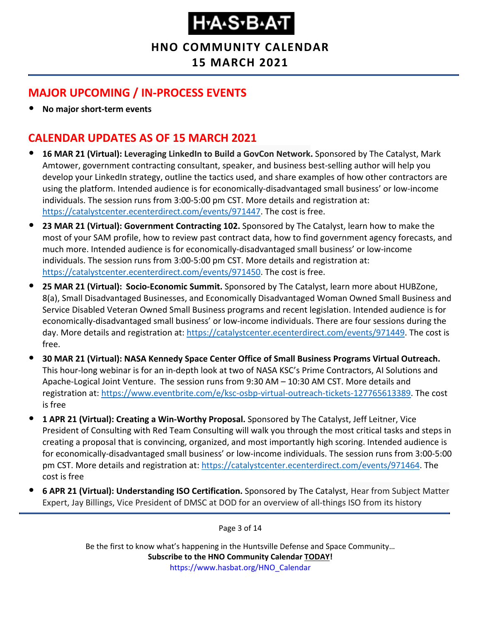**HNO COMMUNITY CALENDAR**

**15 MARCH 2021**

### <span id="page-2-0"></span>**MAJOR UPCOMING / IN-PROCESS EVENTS**

• **No major short-term events**

### <span id="page-2-1"></span>**CALENDAR UPDATES AS OF 15 MARCH 2021**

- **16 MAR 21 (Virtual): Leveraging LinkedIn to Build a GovCon Network.** Sponsored by The Catalyst, Mark Amtower, government contracting consultant, speaker, and business best-selling author will help you develop your LinkedIn strategy, outline the tactics used, and share examples of how other contractors are using the platform. Intended audience is for economically-disadvantaged small business' or low-income individuals. The session runs from 3:00-5:00 pm CST. More details and registration at: [https://catalystcenter.ecenterdirect.com/events/971447.](https://catalystcenter.ecenterdirect.com/events/971447) The cost is free.
- **23 MAR 21 (Virtual): Government Contracting 102.** Sponsored by The Catalyst, learn how to make the most of your SAM profile, how to review past contract data, how to find government agency forecasts, and much more. Intended audience is for economically-disadvantaged small business' or low-income individuals. The session runs from 3:00-5:00 pm CST. More details and registration at: [https://catalystcenter.ecenterdirect.com/events/971450.](https://catalystcenter.ecenterdirect.com/events/971450) The cost is free.
- **25 MAR 21 (Virtual): Socio-Economic Summit.** Sponsored by The Catalyst, learn more about HUBZone, 8(a), Small Disadvantaged Businesses, and Economically Disadvantaged Woman Owned Small Business and Service Disabled Veteran Owned Small Business programs and recent legislation. Intended audience is for economically-disadvantaged small business' or low-income individuals. There are four sessions during the day. More details and registration at: [https://catalystcenter.ecenterdirect.com/events/971449.](https://catalystcenter.ecenterdirect.com/events/971449) The cost is free.
- **30 MAR 21 (Virtual): NASA Kennedy Space Center Office of Small Business Programs Virtual Outreach.**  This hour-long webinar is for an in-depth look at two of NASA KSC's Prime Contractors, AI Solutions and Apache-Logical Joint Venture. The session runs from 9:30 AM – 10:30 AM CST. More details and registration at: [https://www.eventbrite.com/e/ksc-osbp-virtual-outreach-tickets-127765613389.](https://www.eventbrite.com/e/ksc-osbp-virtual-outreach-tickets-127765613389) The cost is free
- **1 APR 21 (Virtual): Creating a Win-Worthy Proposal.** Sponsored by The Catalyst, Jeff Leitner, Vice President of Consulting with Red Team Consulting will walk you through the most critical tasks and steps in creating a proposal that is convincing, organized, and most importantly high scoring. Intended audience is for economically-disadvantaged small business' or low-income individuals. The session runs from 3:00-5:00 pm CST. More details and registration at: [https://catalystcenter.ecenterdirect.com/events/971464.](https://catalystcenter.ecenterdirect.com/events/971464) The cost is free
- **6 APR 21 (Virtual): Understanding ISO Certification.** Sponsored by The Catalyst, Hear from Subject Matter Expert, Jay Billings, Vice President of DMSC at DOD for an overview of all-things ISO from its history

Page 3 of 14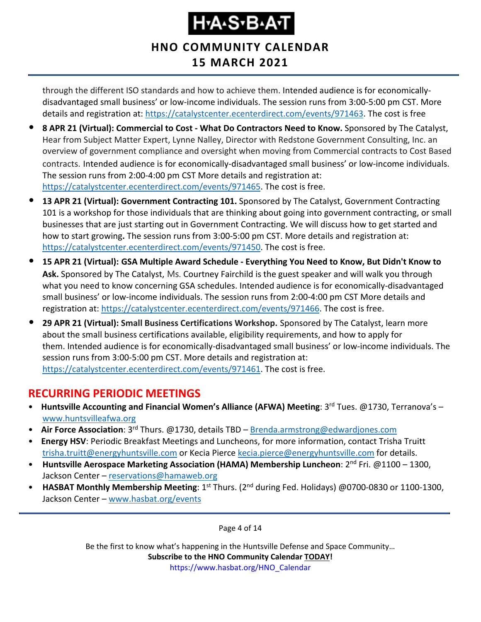### **HNO COMMUNITY CALENDAR 15 MARCH 2021**

through the different ISO standards and how to achieve them. Intended audience is for economicallydisadvantaged small business' or low-income individuals. The session runs from 3:00-5:00 pm CST. More details and registration at: [https://catalystcenter.ecenterdirect.com/events/971463.](https://catalystcenter.ecenterdirect.com/events/971463) The cost is free

- **8 APR 21 (Virtual): Commercial to Cost - What Do Contractors Need to Know.** Sponsored by The Catalyst, Hear from Subject Matter Expert, Lynne Nalley, Director with Redstone Government Consulting, Inc. an overview of government compliance and oversight when moving from Commercial contracts to Cost Based contracts. Intended audience is for economically-disadvantaged small business' or low-income individuals. The session runs from 2:00-4:00 pm CST More details and registration at: [https://catalystcenter.ecenterdirect.com/events/971465.](https://catalystcenter.ecenterdirect.com/events/971465) The cost is free.
- **13 APR 21 (Virtual): Government Contracting 101.** Sponsored by The Catalyst, Government Contracting 101 is a workshop for those individuals that are thinking about going into government contracting, or small businesses that are just starting out in Government Contracting. We will discuss how to get started and how to start growing**.** The session runs from 3:00-5:00 pm CST. More details and registration at: [https://catalystcenter.ecenterdirect.com/events/971450.](https://catalystcenter.ecenterdirect.com/events/971450) The cost is free.
- **15 APR 21 (Virtual): GSA Multiple Award Schedule - Everything You Need to Know, But Didn't Know to Ask.** Sponsored by The Catalyst, Ms. Courtney Fairchild is the guest speaker and will walk you through what you need to know concerning GSA schedules. Intended audience is for economically-disadvantaged small business' or low-income individuals. The session runs from 2:00-4:00 pm CST More details and registration at: [https://catalystcenter.ecenterdirect.com/events/971466.](https://catalystcenter.ecenterdirect.com/events/971466) The cost is free.
- **29 APR 21 (Virtual): Small Business Certifications Workshop.** Sponsored by The Catalyst, learn more about the small business certifications available, eligibility requirements, and how to apply for them. Intended audience is for economically-disadvantaged small business' or low-income individuals. The session runs from 3:00-5:00 pm CST. More details and registration at: [https://catalystcenter.ecenterdirect.com/events/971461.](https://catalystcenter.ecenterdirect.com/events/971461) The cost is free.

#### <span id="page-3-0"></span>**RECURRING PERIODIC MEETINGS**

- Huntsville Accounting and Financial Women's Alliance (AFWA) Meeting: 3<sup>rd</sup> Tues. @1730, Terranova's [www.huntsvilleafwa.org](http://www.huntsvilleafwa.org/)
- **Air Force Association**: 3rd Thurs. @1730, details TBD [Brenda.armstrong@edwardjones.com](mailto:Brenda.armstrong@edwardjones.com)
- **Energy HSV**: Periodic Breakfast Meetings and Luncheons, for more information, contact Trisha Truitt [trisha.truitt@energyhuntsville.com](mailto:trisha.truitt@energyhuntsville.com) or Kecia Pierce [kecia.pierce@energyhuntsville.com](mailto:kecia.pierce@energyhuntsville.com) for details.
- Huntsville Aerospace Marketing Association (HAMA) Membership Luncheon: 2<sup>nd</sup> Fri. @1100 1300, Jackson Center – [reservations@hamaweb.org](mailto:reservations@hamaweb.org)
- **HASBAT Monthly Membership Meeting**: 1<sup>st</sup> Thurs. (2<sup>nd</sup> during Fed. Holidays) @0700-0830 or 1100-1300, Jackson Center – [www.hasbat.org/events](http://www.hasbat.org/events)

Page 4 of 14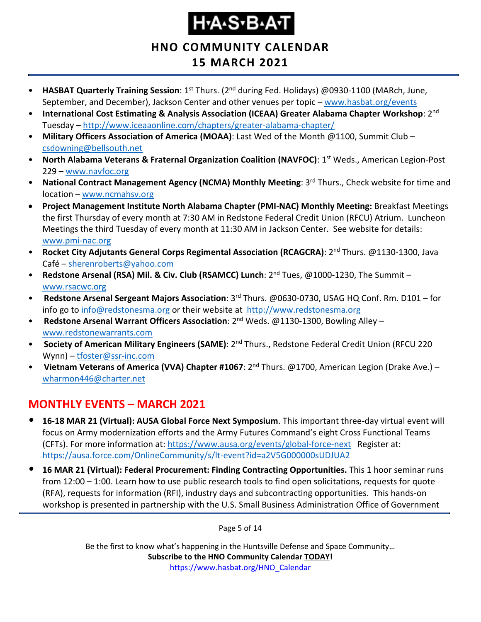**HNO COMMUNITY CALENDAR**

### **15 MARCH 2021**

- **HASBAT Quarterly Training Session**: 1<sup>st</sup> Thurs. (2<sup>nd</sup> during Fed. Holidays) @0930-1100 (MARch, June, September, and December), Jackson Center and other venues per topic – [www.hasbat.org/events](http://www.hasbat.org/events)
- **International Cost Estimating & Analysis Association (ICEAA) Greater Alabama Chapter Workshop**: 2nd Tuesday – <http://www.iceaaonline.com/chapters/greater-alabama-chapter/>
- **Military Officers Association of America (MOAA)**: Last Wed of the Month @1100, Summit Club [csdowning@bellsouth.net](mailto:csdowning@bellsouth.net)
- **North Alabama Veterans & Fraternal Organization Coalition (NAVFOC)**: 1st Weds., American Legion-Post 229 – [www.navfoc.org](http://www.navfoc.org/)
- **National Contract Management Agency (NCMA) Monthly Meeting**: 3rd Thurs., Check website for time and location – [www.ncmahsv.org](http://www.ncmahsv.org/)
- **Project Management Institute North Alabama Chapter (PMI-NAC) Monthly Meeting:** Breakfast Meetings the first Thursday of every month at 7:30 AM in Redstone Federal Credit Union (RFCU) Atrium. Luncheon Meetings the third Tuesday of every month at 11:30 AM in Jackson Center. See website for details: [www.pmi-nac.org](http://www.pmi-nac.org/)
- **Rocket City Adjutants General Corps Regimental Association (RCAGCRA)**: 2nd Thurs. @1130-1300, Java Café – [sherenroberts@yahoo.com](mailto:sherenroberts@yahoo.com)
- **Redstone Arsenal (RSA) Mil. & Civ. Club (RSAMCC) Lunch**: 2nd Tues, @1000-1230, The Summit [www.rsacwc.org](http://www.rsacwc.org/)
- **Redstone Arsenal Sergeant Majors Association**: 3rd Thurs. @0630-0730, USAG HQ Conf. Rm. D101 for info go to [info@redstonesma.org](mailto:info@redstonesma.org) or their website at [http://www.redstonesma.org](http://www.redstonesma.org/)
- **Redstone Arsenal Warrant Officers Association**: 2nd Weds. @1130-1300, Bowling Alley [www.redstonewarrants.com](http://www.redstonewarrants.com/)
- **Society of American Military Engineers (SAME)**: 2nd Thurs., Redstone Federal Credit Union (RFCU 220 Wynn) – [tfoster@ssr-inc.com](mailto:tfoster@ssr-inc.com)
- Vietnam Veterans of America (VVA) Chapter #1067: 2<sup>nd</sup> Thurs. @1700, American Legion (Drake Ave.) [wharmon446@charter.net](mailto:wharmon446@charter.net)

### <span id="page-4-0"></span>**MONTHLY EVENTS – MARCH 2021**

- **16-18 MAR 21 (Virtual): AUSA Global Force Next Symposium**. This important three-day virtual event will focus on Army modernization efforts and the Army Futures Command's eight Cross Functional Teams (CFTs). For more information at:<https://www.ausa.org/events/global-force-next>Register at: <https://ausa.force.com/OnlineCommunity/s/lt-event?id=a2V5G000000sUDJUA2>
- **16 MAR 21 (Virtual): Federal Procurement: Finding Contracting Opportunities.** This 1 hoor seminar runs from 12:00 – 1:00. Learn how to use public research tools to find open solicitations, requests for quote (RFA), requests for information (RFI), industry days and subcontracting opportunities. This hands-on workshop is presented in partnership with the U.S. Small Business Administration Office of Government

Page 5 of 14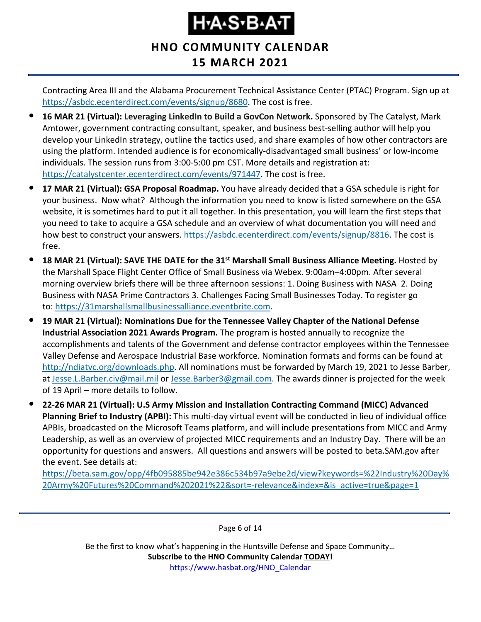### **HNO COMMUNITY CALENDAR 15 MARCH 2021**

Contracting Area III and the Alabama Procurement Technical Assistance Center (PTAC) Program. Sign up at [https://asbdc.ecenterdirect.com/events/signup/8680.](https://asbdc.ecenterdirect.com/events/signup/8680) The cost is free.

- **16 MAR 21 (Virtual): Leveraging LinkedIn to Build a GovCon Network.** Sponsored by The Catalyst, Mark Amtower, government contracting consultant, speaker, and business best-selling author will help you develop your LinkedIn strategy, outline the tactics used, and share examples of how other contractors are using the platform. Intended audience is for economically-disadvantaged small business' or low-income individuals. The session runs from 3:00-5:00 pm CST. More details and registration at: [https://catalystcenter.ecenterdirect.com/events/971447.](https://catalystcenter.ecenterdirect.com/events/971447) The cost is free.
- **17 MAR 21 (Virtual): GSA Proposal Roadmap.** You have already decided that a GSA schedule is right for your business. Now what? Although the information you need to know is listed somewhere on the GSA website, it is sometimes hard to put it all together. In this presentation, you will learn the first steps that you need to take to acquire a GSA schedule and an overview of what documentation you will need and how best to construct your answers. [https://asbdc.ecenterdirect.com/events/signup/8816.](https://asbdc.ecenterdirect.com/events/signup/8816) The cost is free.
- **18 MAR 21 (Virtual): SAVE THE DATE for the 31st Marshall Small Business Alliance Meeting.** Hosted by the Marshall Space Flight Center Office of Small Business via Webex. 9:00am–4:00pm. After several morning overview briefs there will be three afternoon sessions: 1. Doing Business with NASA 2. Doing Business with NASA Prime Contractors 3. Challenges Facing Small Businesses Today. To register go to: [https://31marshallsmallbusinessalliance.eventbrite.com.](https://usg02.safelinks.protection.office365.us/?url=https%3A%2F%2F31marshallsmallbusinessalliance.eventbrite.com%2F&data=04%7C01%7C%7C0f36919e37444ab850e108d8d460fcc1%7C4a877cfcec954ba0a4a3f6141161bfa5%7C0%7C1%7C637492860423911697%7CUnknown%7CTWFpbGZsb3d8eyJWIjoiMC4wLjAwMDAiLCJQIjoiV2luMzIiLCJBTiI6Ik1haWwiLCJXVCI6Mn0%3D%7C1000&sdata=QMj299%2BvYAKX2mjW%2FFU48HIa16uVEPpbnpboQjxOPQA%3D&reserved=0)
- **19 MAR 21 (Virtual): Nominations Due for the Tennessee Valley Chapter of the National Defense Industrial Association 2021 Awards Program.** The program is hosted annually to recognize the accomplishments and talents of the Government and defense contractor employees within the Tennessee Valley Defense and Aerospace Industrial Base workforce. Nomination formats and forms can be found at [http://ndiatvc.org/downloads.php.](http://ndiatvc.org/downloads.php) All nominations must be forwarded by March 19, 2021 to Jesse Barber, at [Jesse.L.Barber.civ@mail.mil](mailto:Jesse.L.Barber.civ@mail.mil) or [Jesse.Barber3@gmail.com.](mailto:Jesse.Barber3@gmail.com) The awards dinner is projected for the week of 19 April – more details to follow.
- **22-26 MAR 21 (Virtual): U.S Army Mission and Installation Contracting Command (MICC) Advanced Planning Brief to Industry (APBI):** This multi-day virtual event will be conducted in lieu of individual office APBIs, broadcasted on the Microsoft Teams platform, and will include presentations from MICC and Army Leadership, as well as an overview of projected MICC requirements and an Industry Day. There will be an opportunity for questions and answers. All questions and answers will be posted to beta.SAM.gov after the event. See details at:

[https://beta.sam.gov/opp/4fb095885be942e386c534b97a9ebe2d/view?keywords=%22Industry%20Day%](https://beta.sam.gov/opp/4fb095885be942e386c534b97a9ebe2d/view?keywords=%22Industry%20Day%20Army%20Futures%20Command%202021%22&sort=-relevance&index=&is_active=true&page=1) [20Army%20Futures%20Command%202021%22&sort=-relevance&index=&is\\_active=true&page=1](https://beta.sam.gov/opp/4fb095885be942e386c534b97a9ebe2d/view?keywords=%22Industry%20Day%20Army%20Futures%20Command%202021%22&sort=-relevance&index=&is_active=true&page=1)

Page 6 of 14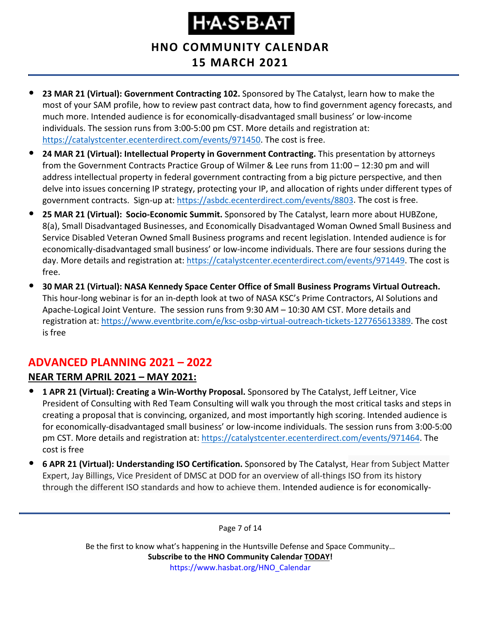**HNO COMMUNITY CALENDAR 15 MARCH 2021**

- **23 MAR 21 (Virtual): Government Contracting 102.** Sponsored by The Catalyst, learn how to make the most of your SAM profile, how to review past contract data, how to find government agency forecasts, and much more. Intended audience is for economically-disadvantaged small business' or low-income individuals. The session runs from 3:00-5:00 pm CST. More details and registration at: [https://catalystcenter.ecenterdirect.com/events/971450.](https://catalystcenter.ecenterdirect.com/events/971450) The cost is free.
- **24 MAR 21 (Virtual): Intellectual Property in Government Contracting.** This presentation by attorneys from the Government Contracts Practice Group of Wilmer & Lee runs from 11:00 – 12:30 pm and will address intellectual property in federal government contracting from a big picture perspective, and then delve into issues concerning IP strategy, protecting your IP, and allocation of rights under different types of government contracts. Sign-up at: [https://asbdc.ecenterdirect.com/events/8803.](https://asbdc.ecenterdirect.com/events/8803) The cost is free.
- **25 MAR 21 (Virtual): Socio-Economic Summit.** Sponsored by The Catalyst, learn more about HUBZone, 8(a), Small Disadvantaged Businesses, and Economically Disadvantaged Woman Owned Small Business and Service Disabled Veteran Owned Small Business programs and recent legislation. Intended audience is for economically-disadvantaged small business' or low-income individuals. There are four sessions during the day. More details and registration at: [https://catalystcenter.ecenterdirect.com/events/971449.](https://catalystcenter.ecenterdirect.com/events/971449) The cost is free.
- **30 MAR 21 (Virtual): NASA Kennedy Space Center Office of Small Business Programs Virtual Outreach.**  This hour-long webinar is for an in-depth look at two of NASA KSC's Prime Contractors, AI Solutions and Apache-Logical Joint Venture. The session runs from 9:30 AM – 10:30 AM CST. More details and registration at: [https://www.eventbrite.com/e/ksc-osbp-virtual-outreach-tickets-127765613389.](https://www.eventbrite.com/e/ksc-osbp-virtual-outreach-tickets-127765613389) The cost is free

#### <span id="page-6-0"></span>**ADVANCED PLANNING 2021 – 2022**

#### **NEAR TERM APRIL 2021 – MAY 2021:**

- **1 APR 21 (Virtual): Creating a Win-Worthy Proposal.** Sponsored by The Catalyst, Jeff Leitner, Vice President of Consulting with Red Team Consulting will walk you through the most critical tasks and steps in creating a proposal that is convincing, organized, and most importantly high scoring. Intended audience is for economically-disadvantaged small business' or low-income individuals. The session runs from 3:00-5:00 pm CST. More details and registration at: [https://catalystcenter.ecenterdirect.com/events/971464.](https://catalystcenter.ecenterdirect.com/events/971464) The cost is free
- **6 APR 21 (Virtual): Understanding ISO Certification.** Sponsored by The Catalyst, Hear from Subject Matter Expert, Jay Billings, Vice President of DMSC at DOD for an overview of all-things ISO from its history through the different ISO standards and how to achieve them. Intended audience is for economically-

Page 7 of 14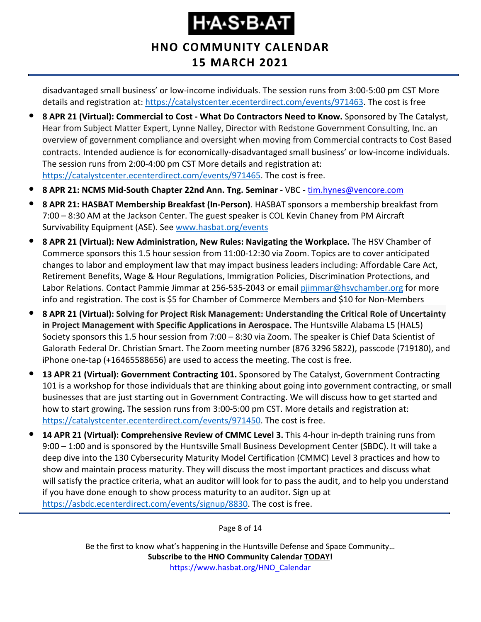### **HNO COMMUNITY CALENDAR 15 MARCH 2021**

disadvantaged small business' or low-income individuals. The session runs from 3:00-5:00 pm CST More details and registration at: [https://catalystcenter.ecenterdirect.com/events/971463.](https://catalystcenter.ecenterdirect.com/events/971463) The cost is free

- **8 APR 21 (Virtual): Commercial to Cost - What Do Contractors Need to Know.** Sponsored by The Catalyst, Hear from Subject Matter Expert, Lynne Nalley, Director with Redstone Government Consulting, Inc. an overview of government compliance and oversight when moving from Commercial contracts to Cost Based contracts. Intended audience is for economically-disadvantaged small business' or low-income individuals. The session runs from 2:00-4:00 pm CST More details and registration at: [https://catalystcenter.ecenterdirect.com/events/971465.](https://catalystcenter.ecenterdirect.com/events/971465) The cost is free.
- **8 APR 21: NCMS Mid-South Chapter 22nd Ann. Tng. Seminar** VBC [tim.hynes@vencore.com](mailto:tim.hynes@vencore.com)
- **8 APR 21: HASBAT Membership Breakfast (In-Person)**. HASBAT sponsors a membership breakfast from 7:00 – 8:30 AM at the Jackson Center. The guest speaker is COL Kevin Chaney from PM Aircraft Survivability Equipment (ASE). See [www.hasbat.org/events](http://www.hasbat.org/events)
- **8 APR 21 (Virtual): New Administration, New Rules: Navigating the Workplace.** The HSV Chamber of Commerce sponsors this 1.5 hour session from 11:00-12:30 via Zoom. Topics are to cover anticipated changes to labor and employment law that may impact business leaders including: Affordable Care Act, Retirement Benefits, Wage & Hour Regulations, Immigration Policies, Discrimination Protections, and Labor Relations. Contact Pammie Jimmar at 256-535-2043 or email [pjimmar@hsvchamber.org](mailto:pjimmar@hsvchamber.org) for more info and registration. The cost is \$5 for Chamber of Commerce Members and \$10 for Non-Members
- **8 APR 21 (Virtual): Solving for Project Risk Management: Understanding the Critical Role of Uncertainty in Project Management with Specific Applications in Aerospace.** The Huntsville Alabama L5 (HAL5) Society sponsors this 1.5 hour session from 7:00 – 8:30 via Zoom. The speaker is Chief Data Scientist of Galorath Federal Dr. Christian Smart. The Zoom meeting number (876 3296 5822), passcode (719180), and iPhone one-tap (+16465588656) are used to access the meeting. The cost is free.
- **13 APR 21 (Virtual): Government Contracting 101.** Sponsored by The Catalyst, Government Contracting 101 is a workshop for those individuals that are thinking about going into government contracting, or small businesses that are just starting out in Government Contracting. We will discuss how to get started and how to start growing**.** The session runs from 3:00-5:00 pm CST. More details and registration at: [https://catalystcenter.ecenterdirect.com/events/971450.](https://catalystcenter.ecenterdirect.com/events/971450) The cost is free.
- **14 APR 21 (Virtual): Comprehensive Review of CMMC Level 3.** This 4-hour in-depth training runs from 9:00 – 1:00 and is sponsored by the Huntsville Small Business Development Center (SBDC). It will take a deep dive into the 130 Cybersecurity Maturity Model Certification (CMMC) Level 3 practices and how to show and maintain process maturity. They will discuss the most important practices and discuss what will satisfy the practice criteria, what an auditor will look for to pass the audit, and to help you understand if you have done enough to show process maturity to an auditor**.** Sign up at [https://asbdc.ecenterdirect.com/events/signup/8830.](https://asbdc.ecenterdirect.com/events/signup/8830) The cost is free.

Page 8 of 14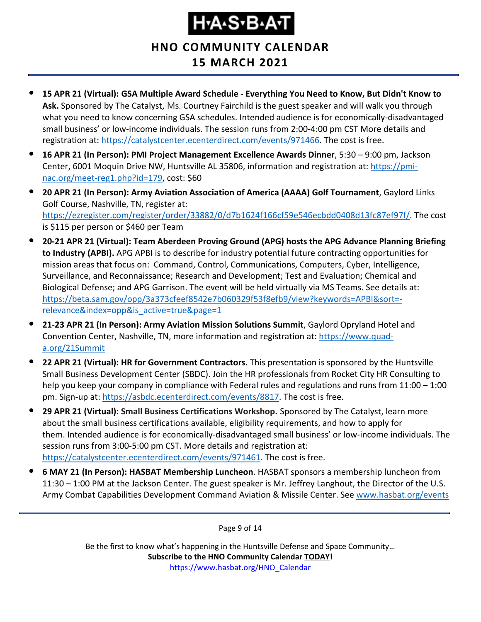**HNO COMMUNITY CALENDAR**

### **15 MARCH 2021**

- **15 APR 21 (Virtual): GSA Multiple Award Schedule - Everything You Need to Know, But Didn't Know to Ask.** Sponsored by The Catalyst, Ms. Courtney Fairchild is the guest speaker and will walk you through what you need to know concerning GSA schedules. Intended audience is for economically-disadvantaged small business' or low-income individuals. The session runs from 2:00-4:00 pm CST More details and registration at: [https://catalystcenter.ecenterdirect.com/events/971466.](https://catalystcenter.ecenterdirect.com/events/971466) The cost is free.
- **16 APR 21 (In Person): PMI Project Management Excellence Awards Dinner**, 5:30 9:00 pm, Jackson Center, 6001 Moquin Drive NW, Huntsville AL 35806, information and registration at: [https://pmi](https://pmi-nac.org/meet-reg1.php?id=179)[nac.org/meet-reg1.php?id=179,](https://pmi-nac.org/meet-reg1.php?id=179) cost: \$60
- **20 APR 21 (In Person): Army Aviation Association of America (AAAA) Golf Tournament**, Gaylord Links Golf Course, Nashville, TN, register at: [https://ezregister.com/register/order/33882/0/d7b1624f166cf59e546ecbdd0408d13fc87ef97f/.](https://ezregister.com/register/order/33882/0/d7b1624f166cf59e546ecbdd0408d13fc87ef97f/) The cost is \$115 per person or \$460 per Team
- **20-21 APR 21 (Virtual): Team Aberdeen Proving Ground (APG) hosts the APG Advance Planning Briefing to Industry (APBI).** APG APBI is to describe for industry potential future contracting opportunities for mission areas that focus on: Command, Control, Communications, Computers, Cyber, Intelligence, Surveillance, and Reconnaissance; Research and Development; Test and Evaluation; Chemical and Biological Defense; and APG Garrison. The event will be held virtually via MS Teams. See details at: [https://beta.sam.gov/opp/3a373cfeef8542e7b060329f53f8efb9/view?keywords=APBI&sort=](https://beta.sam.gov/opp/3a373cfeef8542e7b060329f53f8efb9/view?keywords=APBI&sort=-relevance&index=opp&is_active=true&page=1) [relevance&index=opp&is\\_active=true&page=1](https://beta.sam.gov/opp/3a373cfeef8542e7b060329f53f8efb9/view?keywords=APBI&sort=-relevance&index=opp&is_active=true&page=1)
- **21-23 APR 21 (In Person): Army Aviation Mission Solutions Summit**, Gaylord Opryland Hotel and Convention Center, Nashville, TN, more information and registration at: [https://www.quad](https://www.quad-a.org/21Summit)[a.org/21Summit](https://www.quad-a.org/21Summit)
- **22 APR 21 (Virtual): HR for Government Contractors.** This presentation is sponsored by the Huntsville Small Business Development Center (SBDC). Join the HR professionals from Rocket City HR Consulting to help you keep your company in compliance with Federal rules and regulations and runs from 11:00 – 1:00 pm. Sign-up at: [https://asbdc.ecenterdirect.com/events/8817.](https://asbdc.ecenterdirect.com/events/8817) The cost is free.
- **29 APR 21 (Virtual): Small Business Certifications Workshop.** Sponsored by The Catalyst, learn more about the small business certifications available, eligibility requirements, and how to apply for them. Intended audience is for economically-disadvantaged small business' or low-income individuals. The session runs from 3:00-5:00 pm CST. More details and registration at: [https://catalystcenter.ecenterdirect.com/events/971461.](https://catalystcenter.ecenterdirect.com/events/971461) The cost is free.
- **6 MAY 21 (In Person): HASBAT Membership Luncheon**. HASBAT sponsors a membership luncheon from 11:30 – 1:00 PM at the Jackson Center. The guest speaker is Mr. Jeffrey Langhout, the Director of the U.S. Army Combat Capabilities Development Command Aviation & Missile Center. See [www.hasbat.org/events](http://www.hasbat.org/events)

Page 9 of 14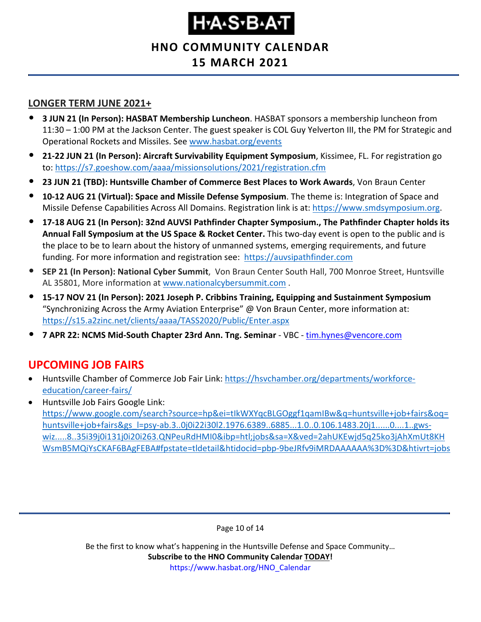**HNO COMMUNITY CALENDAR**

#### **15 MARCH 2021**

#### **LONGER TERM JUNE 2021+**

- **3 JUN 21 (In Person): HASBAT Membership Luncheon**. HASBAT sponsors a membership luncheon from 11:30 – 1:00 PM at the Jackson Center. The guest speaker is COL Guy Yelverton III, the PM for Strategic and Operational Rockets and Missiles. See [www.hasbat.org/events](http://www.hasbat.org/events)
- **21-22 JUN 21 (In Person): Aircraft Survivability Equipment Symposium**, Kissimee, FL. For registration go to:<https://s7.goeshow.com/aaaa/missionsolutions/2021/registration.cfm>
- **23 JUN 21 (TBD): Huntsville Chamber of Commerce Best Places to Work Awards**, Von Braun Center
- **10-12 AUG 21 (Virtual): Space and Missile Defense Symposium**. The theme is: Integration of Space and Missile Defense Capabilities Across All Domains. Registration link is at: [https://www.smdsymposium.org.](https://www.smdsymposium.org/)
- **17-18 AUG 21 (In Person): 32nd AUVSI Pathfinder Chapter Symposium., The Pathfinder Chapter holds its Annual Fall Symposium at the US Space & Rocket Center.** This two-day event is open to the public and is the place to be to learn about the history of unmanned systems, emerging requirements, and future funding. For more information and registration see: [https://auvsipathfinder.com](https://auvsipathfinder.com/)
- **SEP 21 (In Person): National Cyber Summit**, Von Braun Center South Hall, 700 Monroe Street, Huntsville AL 35801, More information at [www.nationalcybersummit.com](http://www.nationalcybersummit.com/) .
- **15-17 NOV 21 (In Person): 2021 Joseph P. Cribbins Training, Equipping and Sustainment Symposium** "Synchronizing Across the Army Aviation Enterprise" @ Von Braun Center, more information at: <https://s15.a2zinc.net/clients/aaaa/TASS2020/Public/Enter.aspx>
- **7 APR 22: NCMS Mid-South Chapter 23rd Ann. Tng. Seminar** VBC [tim.hynes@vencore.com](mailto:tim.hynes@vencore.com)

### <span id="page-9-0"></span>**UPCOMING JOB FAIRS**

- Huntsville Chamber of Commerce Job Fair Link: [https://hsvchamber.org/departments/workforce](https://hsvchamber.org/departments/workforce-education/career-fairs/)[education/career-fairs/](https://hsvchamber.org/departments/workforce-education/career-fairs/)
- Huntsville Job Fairs Google Link: [https://www.google.com/search?source=hp&ei=tIkWXYqcBLGOggf1qamIBw&q=huntsville+job+fairs&oq=](https://www.google.com/search?source=hp&ei=tIkWXYqcBLGOggf1qamIBw&q=huntsville+job+fairs&oq=huntsville+job+fairs&gs_l=psy-ab.3..0j0i22i30l2.1976.6389..6885...1.0..0.106.1483.20j1......0....1..gws-wiz.....8..35i39j0i131j0i20i263.QNPeuRdHMI0&ibp=htl;jobs&sa=X&ved=2ahUKEwjd5q25ko3jAhXmUt8KHWsmB5MQiYsCKAF6BAgFEBA#fpstate=tldetail&htidocid=pbp-9beJRfv9iMRDAAAAAA%3D%3D&htivrt=jobs) [huntsville+job+fairs&gs\\_l=psy-ab.3..0j0i22i30l2.1976.6389..6885...1.0..0.106.1483.20j1......0....1..gws](https://www.google.com/search?source=hp&ei=tIkWXYqcBLGOggf1qamIBw&q=huntsville+job+fairs&oq=huntsville+job+fairs&gs_l=psy-ab.3..0j0i22i30l2.1976.6389..6885...1.0..0.106.1483.20j1......0....1..gws-wiz.....8..35i39j0i131j0i20i263.QNPeuRdHMI0&ibp=htl;jobs&sa=X&ved=2ahUKEwjd5q25ko3jAhXmUt8KHWsmB5MQiYsCKAF6BAgFEBA#fpstate=tldetail&htidocid=pbp-9beJRfv9iMRDAAAAAA%3D%3D&htivrt=jobs)[wiz.....8..35i39j0i131j0i20i263.QNPeuRdHMI0&ibp=htl;jobs&sa=X&ved=2ahUKEwjd5q25ko3jAhXmUt8KH](https://www.google.com/search?source=hp&ei=tIkWXYqcBLGOggf1qamIBw&q=huntsville+job+fairs&oq=huntsville+job+fairs&gs_l=psy-ab.3..0j0i22i30l2.1976.6389..6885...1.0..0.106.1483.20j1......0....1..gws-wiz.....8..35i39j0i131j0i20i263.QNPeuRdHMI0&ibp=htl;jobs&sa=X&ved=2ahUKEwjd5q25ko3jAhXmUt8KHWsmB5MQiYsCKAF6BAgFEBA#fpstate=tldetail&htidocid=pbp-9beJRfv9iMRDAAAAAA%3D%3D&htivrt=jobs) [WsmB5MQiYsCKAF6BAgFEBA#fpstate=tldetail&htidocid=pbp-9beJRfv9iMRDAAAAAA%3D%3D&htivrt=jobs](https://www.google.com/search?source=hp&ei=tIkWXYqcBLGOggf1qamIBw&q=huntsville+job+fairs&oq=huntsville+job+fairs&gs_l=psy-ab.3..0j0i22i30l2.1976.6389..6885...1.0..0.106.1483.20j1......0....1..gws-wiz.....8..35i39j0i131j0i20i263.QNPeuRdHMI0&ibp=htl;jobs&sa=X&ved=2ahUKEwjd5q25ko3jAhXmUt8KHWsmB5MQiYsCKAF6BAgFEBA#fpstate=tldetail&htidocid=pbp-9beJRfv9iMRDAAAAAA%3D%3D&htivrt=jobs)

Page 10 of 14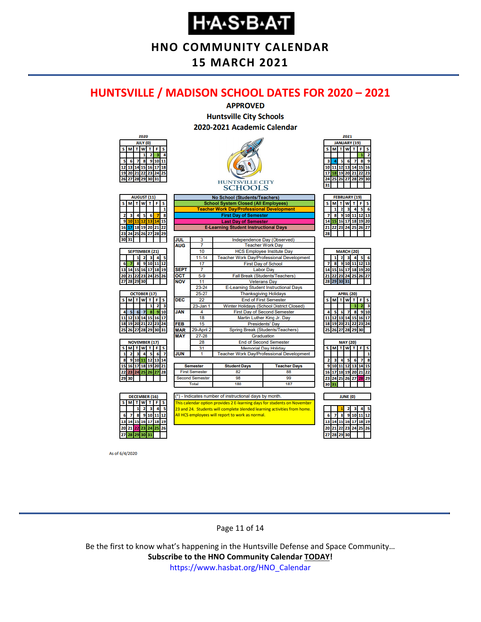**HNO COMMUNITY CALENDAR**

**15 MARCH 2021**

#### <span id="page-10-0"></span>**HUNTSVILLE / MADISON SCHOOL DATES FOR 2020 – 2021**



As of 6/4/2020

#### Page 11 of 14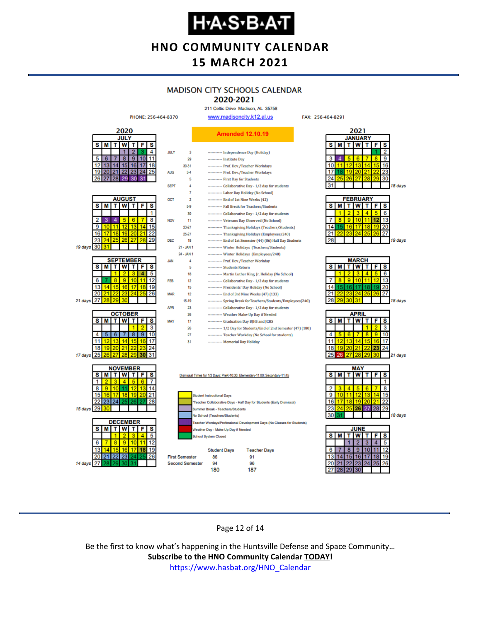**HNO COMMUNITY CALENDAR 15 MARCH 2021**

### **MADISON CITY SCHOOLS CALENDAR**

#### 2020-2021 211 Celtic Drive Madison, AL 35758

19 days

18 days

18 days

30



#### Page 12 of 14

187

180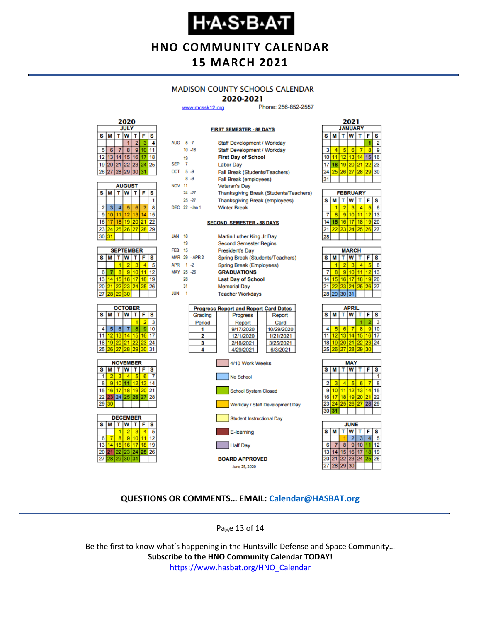### **Н-А-S-В-А-Т**

**HNO COMMUNITY CALENDAR 15 MARCH 2021**

#### **MADISON COUNTY SCHOOLS CALENDAR**

#### 2020-2021

**FIRST SEMESTER - 88 DAYS** 

www.mcssk12.org

Phone: 256-852-2557



| <b>AUGUST</b> |    |    |          |    |    |    |  |
|---------------|----|----|----------|----|----|----|--|
| s             | м  |    | W        |    | F  | s  |  |
|               |    |    |          |    |    |    |  |
| 2             | 3  | 4  | 5        | 6  |    | 8  |  |
| 9             | 10 |    | 12       | 13 |    | 15 |  |
| 16            |    | 18 | 19       | 20 | 21 | 22 |  |
| 23            | 24 |    | 25 26 27 |    | 28 | 29 |  |
| 30            | 31 |    |          |    |    |    |  |

| <b>SEPTEMBER</b> |                             |                 |          |  |    |    |  |
|------------------|-----------------------------|-----------------|----------|--|----|----|--|
| s                | T<br>W<br>F<br>ŤΙ<br>s<br>М |                 |          |  |    |    |  |
|                  |                             |                 | 2        |  |    |    |  |
| 6                |                             | 8               | ٥        |  |    | 12 |  |
| 13               |                             | 15 <sup>1</sup> | 16       |  | 18 |    |  |
| 20               | 21                          |                 | 22 23 24 |  | 25 | 26 |  |
| 27               | 28                          | 29              | 30       |  |    |    |  |







| AUG 5-7          |    |                            | Staff Development / Workday                  |                                        |  |  |  |  |  |
|------------------|----|----------------------------|----------------------------------------------|----------------------------------------|--|--|--|--|--|
|                  |    | $10 - 18$                  | Staff Development / Workday                  |                                        |  |  |  |  |  |
|                  | 19 |                            | <b>First Day of School</b>                   |                                        |  |  |  |  |  |
| SEP <sub>7</sub> |    |                            | <b>Labor Day</b>                             |                                        |  |  |  |  |  |
| OCT 5-9          |    |                            | Fall Break (Students/Teachers)               |                                        |  |  |  |  |  |
|                  |    | $8 - 9$                    | Fall Break (employees)                       |                                        |  |  |  |  |  |
| <b>NOV 11</b>    |    |                            | <b>Veteran's Day</b>                         |                                        |  |  |  |  |  |
|                  |    | 24 - 27                    |                                              | Thanksgiving Break (Students/Teachers) |  |  |  |  |  |
|                  |    | $25 - 27$                  | Thanksgiving Break (employees)               |                                        |  |  |  |  |  |
|                  |    | DEC 22 -Jan 1              | <b>Winter Break</b>                          |                                        |  |  |  |  |  |
|                  |    |                            |                                              |                                        |  |  |  |  |  |
|                  |    |                            | <b>SECOND SEMESTER - 88 DAYS</b>             |                                        |  |  |  |  |  |
|                  |    |                            |                                              |                                        |  |  |  |  |  |
| JAN              | 18 |                            | Martin Luther King Jr Day                    |                                        |  |  |  |  |  |
|                  | 19 |                            | <b>Second Semester Begins</b>                |                                        |  |  |  |  |  |
| <b>FEB</b> 15    |    |                            | <b>President's Day</b>                       |                                        |  |  |  |  |  |
|                  |    | MAR 29 - APR 2             | Spring Break (Students/Teachers)             |                                        |  |  |  |  |  |
| APR 1-2          |    |                            | Spring Break (Employees)                     |                                        |  |  |  |  |  |
| MAY 25 -26       |    |                            | <b>GRADUATIONS</b>                           |                                        |  |  |  |  |  |
|                  | 28 |                            | <b>Last Day of School</b>                    |                                        |  |  |  |  |  |
|                  | 31 |                            | <b>Memorial Day</b>                          |                                        |  |  |  |  |  |
| JUN              | -1 |                            | <b>Teacher Workdays</b>                      |                                        |  |  |  |  |  |
|                  |    |                            |                                              |                                        |  |  |  |  |  |
|                  |    |                            | <b>Progress Report and Report Card Dates</b> |                                        |  |  |  |  |  |
|                  |    | Grading                    | Progress                                     | Report                                 |  |  |  |  |  |
|                  |    | Period                     | Report                                       | Card                                   |  |  |  |  |  |
|                  |    | 1                          | 9/17/2020                                    | 10/29/2020                             |  |  |  |  |  |
|                  |    |                            | 2<br>12/1/2020<br>1/21/2021                  |                                        |  |  |  |  |  |
|                  |    | 3                          | 2/18/2021<br>3/25/2021                       |                                        |  |  |  |  |  |
|                  |    | 4<br>4/29/2021<br>6/3/2021 |                                              |                                        |  |  |  |  |  |
|                  |    |                            |                                              |                                        |  |  |  |  |  |
|                  |    |                            | 4/10 Work Weeks                              |                                        |  |  |  |  |  |



**BOARD APPROVED** June 25, 2020



| <b>FEBRUARY</b> |   |    |                 |    |    |    |  |
|-----------------|---|----|-----------------|----|----|----|--|
| s               | М |    | W               |    | F  | S  |  |
|                 |   | 2  | з               |    |    | ĥ  |  |
|                 | R | 9  | 10              |    | 12 | 13 |  |
| 14              |   | 16 | 17 <sup>1</sup> | 18 | 19 | 20 |  |
|                 |   |    | 23 24           | 25 | 26 | 27 |  |
|                 |   |    |                 |    |    |    |  |

| <b>MARCH</b> |                 |    |     |         |    |    |  |  |
|--------------|-----------------|----|-----|---------|----|----|--|--|
| S            | М               |    | T W | $T$ $F$ |    | S  |  |  |
|              |                 |    |     |         |    | 6  |  |  |
|              | 8               | g  | 10  |         | 12 | 13 |  |  |
| 14           | 15 <sub>1</sub> | 16 | 17  | 18      | 19 | 20 |  |  |
| 21           | 22              | 23 | 24  | 25      | 26 | 27 |  |  |
|              | 28 29 30 31     |    |     |         |    |    |  |  |
|              |                 |    |     |         |    |    |  |  |

| APRIL |                |   |                |    |    |    |  |
|-------|----------------|---|----------------|----|----|----|--|
| s     | М              |   | w              | т  | F  | s  |  |
|       |                |   |                |    |    | 3  |  |
| 4     |                | 6 |                | 8  | 9  | 10 |  |
| 11    |                |   | $12$ 13 14     | 15 | 16 | 17 |  |
| 18    |                |   | 19 20 21 22 23 |    |    | 24 |  |
| 25    | 26 27 28 29 30 |   |                |    |    |    |  |
|       |                |   |                |    |    |    |  |





#### **QUESTIONS OR COMMENTS… EMAIL: [Calendar@HASBAT.org](mailto:calendar@hasbat.org)**

Page 13 of 14